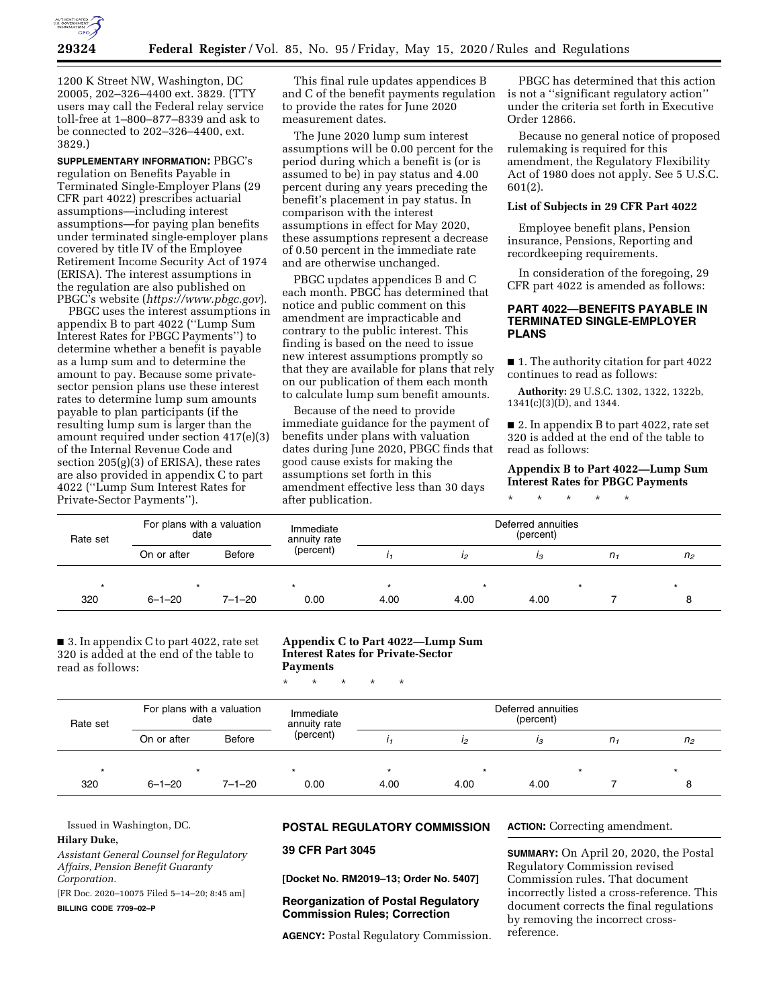

1200 K Street NW, Washington, DC 20005, 202–326–4400 ext. 3829. (TTY users may call the Federal relay service toll-free at 1–800–877–8339 and ask to be connected to 202–326–4400, ext. 3829.)

**SUPPLEMENTARY INFORMATION:** PBGC's regulation on Benefits Payable in Terminated Single-Employer Plans (29 CFR part 4022) prescribes actuarial assumptions—including interest assumptions—for paying plan benefits under terminated single-employer plans covered by title IV of the Employee Retirement Income Security Act of 1974 (ERISA). The interest assumptions in the regulation are also published on PBGC's website (*<https://www.pbgc.gov>*).

PBGC uses the interest assumptions in appendix B to part 4022 (''Lump Sum Interest Rates for PBGC Payments'') to determine whether a benefit is payable as a lump sum and to determine the amount to pay. Because some privatesector pension plans use these interest rates to determine lump sum amounts payable to plan participants (if the resulting lump sum is larger than the amount required under section 417(e)(3) of the Internal Revenue Code and section 205(g)(3) of ERISA), these rates are also provided in appendix C to part 4022 (''Lump Sum Interest Rates for Private-Sector Payments'').

This final rule updates appendices B and C of the benefit payments regulation to provide the rates for June 2020 measurement dates.

The June 2020 lump sum interest assumptions will be 0.00 percent for the period during which a benefit is (or is assumed to be) in pay status and 4.00 percent during any years preceding the benefit's placement in pay status. In comparison with the interest assumptions in effect for May 2020, these assumptions represent a decrease of 0.50 percent in the immediate rate and are otherwise unchanged.

PBGC updates appendices B and C each month. PBGC has determined that notice and public comment on this amendment are impracticable and contrary to the public interest. This finding is based on the need to issue new interest assumptions promptly so that they are available for plans that rely on our publication of them each month to calculate lump sum benefit amounts.

Because of the need to provide immediate guidance for the payment of benefits under plans with valuation dates during June 2020, PBGC finds that good cause exists for making the assumptions set forth in this amendment effective less than 30 days after publication.

PBGC has determined that this action is not a ''significant regulatory action'' under the criteria set forth in Executive Order 12866.

Because no general notice of proposed rulemaking is required for this amendment, the Regulatory Flexibility Act of 1980 does not apply. See 5 U.S.C. 601(2).

#### **List of Subjects in 29 CFR Part 4022**

Employee benefit plans, Pension insurance, Pensions, Reporting and recordkeeping requirements.

In consideration of the foregoing, 29 CFR part 4022 is amended as follows:

#### **PART 4022—BENEFITS PAYABLE IN TERMINATED SINGLE-EMPLOYER PLANS**

■ 1. The authority citation for part 4022 continues to read as follows:

**Authority:** 29 U.S.C. 1302, 1322, 1322b, 1341(c)(3)(D), and 1344.

■ 2. In appendix B to part 4022, rate set 320 is added at the end of the table to read as follows:

#### **Appendix B to Part 4022—Lump Sum Interest Rates for PBGC Payments**

\* \* \* \* \*

| Rate set | For plans with a valuation<br>date |               | Immediate<br>annuity rate | Deferred annuities<br>(percent) |      |      |         |                |  |
|----------|------------------------------------|---------------|---------------------------|---------------------------------|------|------|---------|----------------|--|
|          | On or after                        | <b>Before</b> | (percent)                 |                                 | 12   | ıз   | $n_{1}$ | n <sub>2</sub> |  |
|          |                                    |               |                           |                                 | *    |      |         |                |  |
| 320      | $6 - 1 - 20$                       | $7 - 1 - 20$  | 0.00                      | 4.00                            | 4.00 | 4.00 |         |                |  |

■ 3. In appendix C to part 4022, rate set 320 is added at the end of the table to read as follows:

### **Appendix C to Part 4022—Lump Sum Interest Rates for Private-Sector Payments**

\* \* \* \* \*

| Rate set | For plans with a valuation<br>date |               | Immediate<br>annuity rate | Deferred annuities<br>(percent) |      |      |         |                |  |
|----------|------------------------------------|---------------|---------------------------|---------------------------------|------|------|---------|----------------|--|
|          | On or after                        | <b>Before</b> | (percent)                 |                                 | 12   | ıз   | $n_{1}$ | n <sub>2</sub> |  |
| $\star$  |                                    |               |                           |                                 |      |      |         |                |  |
| 320      | $6 - 1 - 20$                       | $7 - 1 - 20$  | 0.00                      | 4.00                            | 4.00 | 4.00 |         |                |  |

Issued in Washington, DC.

# **Hilary Duke,**

*Assistant General Counsel for Regulatory Affairs, Pension Benefit Guaranty Corporation.* 

[FR Doc. 2020–10075 Filed 5–14–20; 8:45 am]

**BILLING CODE 7709–02–P** 

# **POSTAL REGULATORY COMMISSION**

**39 CFR Part 3045** 

**[Docket No. RM2019–13; Order No. 5407]** 

# **Reorganization of Postal Regulatory Commission Rules; Correction**

**AGENCY:** Postal Regulatory Commission.

**ACTION:** Correcting amendment.

**SUMMARY:** On April 20, 2020, the Postal Regulatory Commission revised Commission rules. That document incorrectly listed a cross-reference. This document corrects the final regulations by removing the incorrect crossreference.